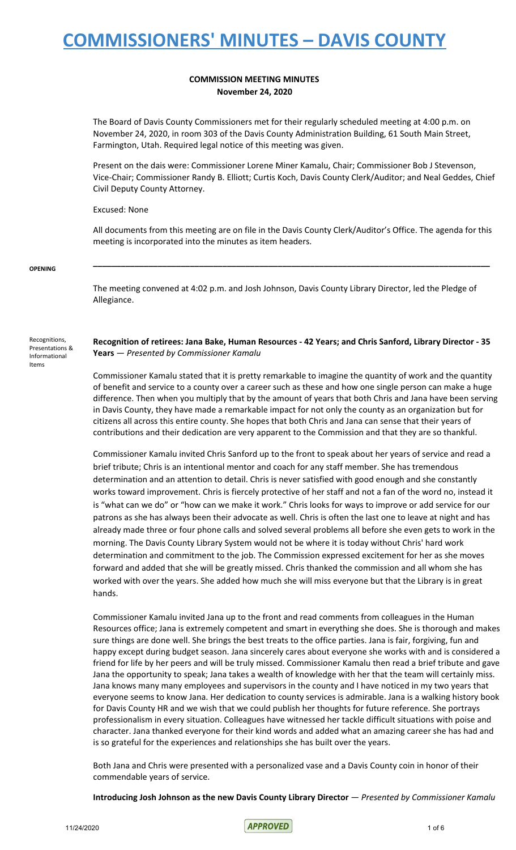### **COMMISSION MEETING MINUTES November 24, 2020**

The Board of Davis County Commissioners met for their regularly scheduled meeting at 4:00 p.m. on November 24, 2020, in room 303 of the Davis County Administration Building, 61 South Main Street, Farmington, Utah. Required legal notice of this meeting was given.

Present on the dais were: Commissioner Lorene Miner Kamalu, Chair; Commissioner Bob J Stevenson, Vice-Chair; Commissioner Randy B. Elliott; Curtis Koch, Davis County Clerk/Auditor; and Neal Geddes, Chief Civil Deputy County Attorney.

Excused: None

All documents from this meeting are on file in the Davis County Clerk/Auditor's Office. The agenda for this meeting is incorporated into the minutes as item headers.

**\_\_\_\_\_\_\_\_\_\_\_\_\_\_\_\_\_\_\_\_\_\_\_\_\_\_\_\_\_\_\_\_\_\_\_\_\_\_\_\_\_\_\_\_\_\_\_\_\_\_\_\_\_\_\_\_\_\_\_\_\_\_\_\_\_\_\_\_\_\_\_\_\_\_\_\_\_\_\_\_\_\_\_\_\_\_**

#### **OPENING**

The meeting convened at 4:02 p.m. and Josh Johnson, Davis County Library Director, led the Pledge of Allegiance.

Recognitions, Presentations & Informational Items

**Recognition of retirees: Jana Bake, Human Resources - 42 Years; and Chris Sanford, Library Director - 35 Years** — *Presented by Commissioner Kamalu*

Commissioner Kamalu stated that it is pretty remarkable to imagine the quantity of work and the quantity of benefit and service to a county over a career such as these and how one single person can make a huge difference. Then when you multiply that by the amount of years that both Chris and Jana have been serving in Davis County, they have made a remarkable impact for not only the county as an organization but for citizens all across this entire county. She hopes that both Chris and Jana can sense that their years of contributions and their dedication are very apparent to the Commission and that they are so thankful.

Commissioner Kamalu invited Chris Sanford up to the front to speak about her years of service and read a brief tribute; Chris is an intentional mentor and coach for any staff member. She has tremendous determination and an attention to detail. Chris is never satisfied with good enough and she constantly works toward improvement. Chris is fiercely protective of her staff and not a fan of the word no, instead it is "what can we do" or "how can we make it work." Chris looks for ways to improve or add service for our patrons as she has always been their advocate as well. Chris is often the last one to leave at night and has already made three or four phone calls and solved several problems all before she even gets to work in the morning. The Davis County Library System would not be where it is today without Chris' hard work determination and commitment to the job. The Commission expressed excitement for her as she moves forward and added that she will be greatly missed. Chris thanked the commission and all whom she has worked with over the years. She added how much she will miss everyone but that the Library is in great hands.

Commissioner Kamalu invited Jana up to the front and read comments from colleagues in the Human Resources office; Jana is extremely competent and smart in everything she does. She is thorough and makes sure things are done well. She brings the best treats to the office parties. Jana is fair, forgiving, fun and happy except during budget season. Jana sincerely cares about everyone she works with and is considered a friend for life by her peers and will be truly missed. Commissioner Kamalu then read a brief tribute and gave Jana the opportunity to speak; Jana takes a wealth of knowledge with her that the team will certainly miss. Jana knows many many employees and supervisors in the county and I have noticed in my two years that everyone seems to know Jana. Her dedication to county services is admirable. Jana is a walking history book for Davis County HR and we wish that we could publish her thoughts for future reference. She portrays professionalism in every situation. Colleagues have witnessed her tackle difficult situations with poise and character. Jana thanked everyone for their kind words and added what an amazing career she has had and is so grateful for the experiences and relationships she has built over the years.

Both Jana and Chris were presented with a personalized vase and a Davis County coin in honor of their commendable years of service.

**Introducing Josh Johnson as the new Davis County Library Director** — *Presented by Commissioner Kamalu*

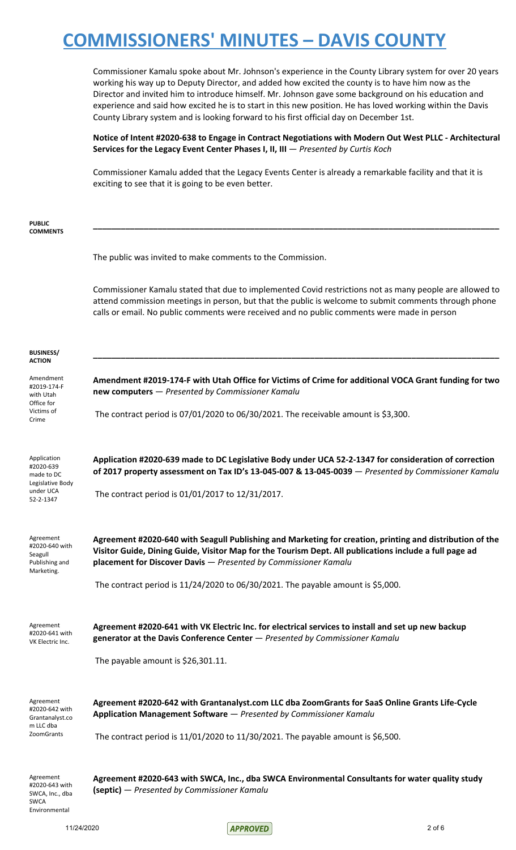Commissioner Kamalu spoke about Mr. Johnson's experience in the County Library system for over 20 years working his way up to Deputy Director, and added how excited the county is to have him now as the Director and invited him to introduce himself. Mr. Johnson gave some background on his education and experience and said how excited he is to start in this new position. He has loved working within the Davis County Library system and is looking forward to his first official day on December 1st.

**Notice of Intent #2020-638 to Engage in Contract Negotiations with Modern Out West PLLC - Architectural Services for the Legacy Event Center Phases I, II, III** — *Presented by Curtis Koch*

Commissioner Kamalu added that the Legacy Events Center is already a remarkable facility and that it is exciting to see that it is going to be even better.

| <b>PUBLIC</b><br><b>COMMENTS</b>                                       |                                                                                                                                                                                                                                                                                                                 |
|------------------------------------------------------------------------|-----------------------------------------------------------------------------------------------------------------------------------------------------------------------------------------------------------------------------------------------------------------------------------------------------------------|
|                                                                        | The public was invited to make comments to the Commission.                                                                                                                                                                                                                                                      |
|                                                                        | Commissioner Kamalu stated that due to implemented Covid restrictions not as many people are allowed to<br>attend commission meetings in person, but that the public is welcome to submit comments through phone<br>calls or email. No public comments were received and no public comments were made in person |
| <b>BUSINESS/</b><br>ACTION                                             |                                                                                                                                                                                                                                                                                                                 |
| Amendment<br>#2019-174-F<br>with Utah                                  | Amendment #2019-174-F with Utah Office for Victims of Crime for additional VOCA Grant funding for two<br>new computers - Presented by Commissioner Kamalu                                                                                                                                                       |
| Office for<br>Victims of<br>Crime                                      | The contract period is 07/01/2020 to 06/30/2021. The receivable amount is \$3,300.                                                                                                                                                                                                                              |
| Application<br>#2020-639<br>made to DC<br>Legislative Body             | Application #2020-639 made to DC Legislative Body under UCA 52-2-1347 for consideration of correction<br>of 2017 property assessment on Tax ID's 13-045-007 & 13-045-0039 - Presented by Commissioner Kamalu                                                                                                    |
| under UCA<br>52-2-1347                                                 | The contract period is 01/01/2017 to 12/31/2017.                                                                                                                                                                                                                                                                |
| Agreement<br>#2020-640 with<br>Seagull<br>Publishing and<br>Marketing. | Agreement #2020-640 with Seagull Publishing and Marketing for creation, printing and distribution of the<br>Visitor Guide, Dining Guide, Visitor Map for the Tourism Dept. All publications include a full page ad<br>placement for Discover Davis - Presented by Commissioner Kamalu                           |
|                                                                        | The contract period is 11/24/2020 to 06/30/2021. The payable amount is \$5,000.                                                                                                                                                                                                                                 |
| Agreement<br>#2020-641 with<br>VK Electric Inc.                        | Agreement #2020-641 with VK Electric Inc. for electrical services to install and set up new backup<br>generator at the Davis Conference Center - Presented by Commissioner Kamalu                                                                                                                               |
|                                                                        | The payable amount is \$26,301.11.                                                                                                                                                                                                                                                                              |
| Agreement<br>#2020-642 with<br>Grantanalyst.co<br>m LLC dba            | Agreement #2020-642 with Grantanalyst.com LLC dba ZoomGrants for SaaS Online Grants Life-Cycle<br>Application Management Software - Presented by Commissioner Kamalu                                                                                                                                            |
| <b>ZoomGrants</b>                                                      | The contract period is 11/01/2020 to 11/30/2021. The payable amount is \$6,500.                                                                                                                                                                                                                                 |
| Agreement<br>#2020-643 with<br>SWCA, Inc., dba<br><b>SWCA</b>          | Agreement #2020-643 with SWCA, Inc., dba SWCA Environmental Consultants for water quality study<br>(septic) - Presented by Commissioner Kamalu                                                                                                                                                                  |

Environmental

11/24/2020 2 of 6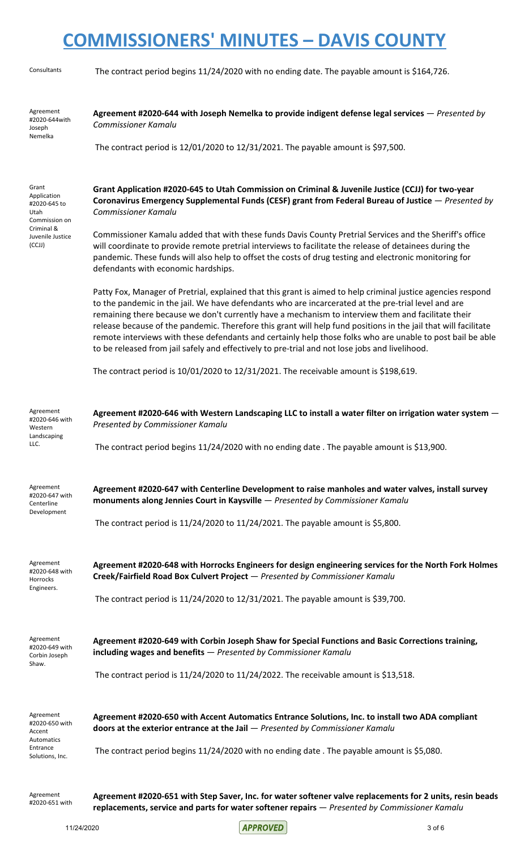| Consultants                                                                                               | The contract period begins 11/24/2020 with no ending date. The payable amount is \$164,726.                                                                                                                                                                                                                                                                                                                                                                                                                                                                                                                                                                  |
|-----------------------------------------------------------------------------------------------------------|--------------------------------------------------------------------------------------------------------------------------------------------------------------------------------------------------------------------------------------------------------------------------------------------------------------------------------------------------------------------------------------------------------------------------------------------------------------------------------------------------------------------------------------------------------------------------------------------------------------------------------------------------------------|
| Agreement<br>#2020-644with<br>Joseph<br>Nemelka                                                           | Agreement #2020-644 with Joseph Nemelka to provide indigent defense legal services – Presented by<br><b>Commissioner Kamalu</b><br>The contract period is 12/01/2020 to 12/31/2021. The payable amount is \$97,500.                                                                                                                                                                                                                                                                                                                                                                                                                                          |
|                                                                                                           |                                                                                                                                                                                                                                                                                                                                                                                                                                                                                                                                                                                                                                                              |
| Grant<br>Application<br>#2020-645 to<br>Utah<br>Commission on<br>Criminal &<br>Juvenile Justice<br>(CCJJ) | Grant Application #2020-645 to Utah Commission on Criminal & Juvenile Justice (CCJJ) for two-year<br>Coronavirus Emergency Supplemental Funds (CESF) grant from Federal Bureau of Justice - Presented by<br><b>Commissioner Kamalu</b>                                                                                                                                                                                                                                                                                                                                                                                                                       |
|                                                                                                           | Commissioner Kamalu added that with these funds Davis County Pretrial Services and the Sheriff's office<br>will coordinate to provide remote pretrial interviews to facilitate the release of detainees during the<br>pandemic. These funds will also help to offset the costs of drug testing and electronic monitoring for<br>defendants with economic hardships.                                                                                                                                                                                                                                                                                          |
|                                                                                                           | Patty Fox, Manager of Pretrial, explained that this grant is aimed to help criminal justice agencies respond<br>to the pandemic in the jail. We have defendants who are incarcerated at the pre-trial level and are<br>remaining there because we don't currently have a mechanism to interview them and facilitate their<br>release because of the pandemic. Therefore this grant will help fund positions in the jail that will facilitate<br>remote interviews with these defendants and certainly help those folks who are unable to post bail be able<br>to be released from jail safely and effectively to pre-trial and not lose jobs and livelihood. |
|                                                                                                           | The contract period is $10/01/2020$ to $12/31/2021$ . The receivable amount is \$198,619.                                                                                                                                                                                                                                                                                                                                                                                                                                                                                                                                                                    |
| Agreement<br>#2020-646 with<br>Western<br>Landscaping<br>LLC.                                             | Agreement #2020-646 with Western Landscaping LLC to install a water filter on irrigation water system -<br>Presented by Commissioner Kamalu<br>The contract period begins 11/24/2020 with no ending date. The payable amount is \$13,900.                                                                                                                                                                                                                                                                                                                                                                                                                    |
| Agreement<br>#2020-647 with<br>Centerline<br>Development                                                  | Agreement #2020-647 with Centerline Development to raise manholes and water valves, install survey<br>monuments along Jennies Court in Kaysville - Presented by Commissioner Kamalu                                                                                                                                                                                                                                                                                                                                                                                                                                                                          |
|                                                                                                           | The contract period is $11/24/2020$ to $11/24/2021$ . The payable amount is \$5,800.                                                                                                                                                                                                                                                                                                                                                                                                                                                                                                                                                                         |
| Agreement<br>#2020-648 with<br>Horrocks<br>Engineers.                                                     | Agreement #2020-648 with Horrocks Engineers for design engineering services for the North Fork Holmes<br>Creek/Fairfield Road Box Culvert Project - Presented by Commissioner Kamalu                                                                                                                                                                                                                                                                                                                                                                                                                                                                         |
|                                                                                                           | The contract period is 11/24/2020 to 12/31/2021. The payable amount is \$39,700.                                                                                                                                                                                                                                                                                                                                                                                                                                                                                                                                                                             |
| Agreement<br>#2020-649 with<br>Corbin Joseph<br>Shaw.                                                     | Agreement #2020-649 with Corbin Joseph Shaw for Special Functions and Basic Corrections training,<br>including wages and benefits - Presented by Commissioner Kamalu                                                                                                                                                                                                                                                                                                                                                                                                                                                                                         |
|                                                                                                           | The contract period is 11/24/2020 to 11/24/2022. The receivable amount is \$13,518.                                                                                                                                                                                                                                                                                                                                                                                                                                                                                                                                                                          |
| Agreement<br>#2020-650 with<br>Accent<br>Automatics<br>Entrance                                           | Agreement #2020-650 with Accent Automatics Entrance Solutions, Inc. to install two ADA compliant<br>doors at the exterior entrance at the Jail - Presented by Commissioner Kamalu<br>The contract period begins 11/24/2020 with no ending date . The payable amount is \$5,080.                                                                                                                                                                                                                                                                                                                                                                              |
| Solutions, Inc.                                                                                           |                                                                                                                                                                                                                                                                                                                                                                                                                                                                                                                                                                                                                                                              |
| Agreement<br>#2020-651 with                                                                               | Agreement #2020-651 with Step Saver, Inc. for water softener valve replacements for 2 units, resin beads<br>replacements, service and parts for water softener repairs - Presented by Commissioner Kamalu                                                                                                                                                                                                                                                                                                                                                                                                                                                    |

11/24/2020 3 of 6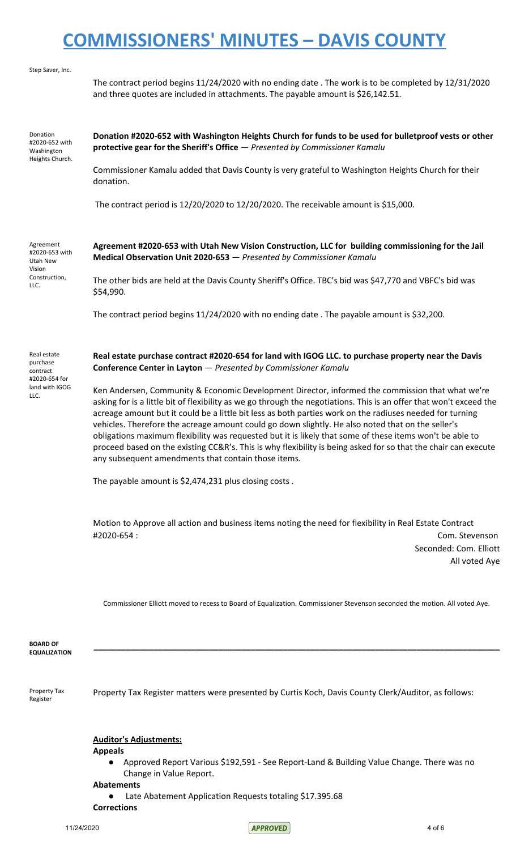| Step Saver, Inc.                                            |                                                                                                                                                                                                                                                                                                                                                                                                                                                                                                                                                                                                                                                                                                                               |
|-------------------------------------------------------------|-------------------------------------------------------------------------------------------------------------------------------------------------------------------------------------------------------------------------------------------------------------------------------------------------------------------------------------------------------------------------------------------------------------------------------------------------------------------------------------------------------------------------------------------------------------------------------------------------------------------------------------------------------------------------------------------------------------------------------|
|                                                             | The contract period begins 11/24/2020 with no ending date . The work is to be completed by 12/31/2020<br>and three quotes are included in attachments. The payable amount is \$26,142.51.                                                                                                                                                                                                                                                                                                                                                                                                                                                                                                                                     |
| Donation<br>#2020-652 with<br>Washington<br>Heights Church. | Donation #2020-652 with Washington Heights Church for funds to be used for bulletproof vests or other<br>protective gear for the Sheriff's Office - Presented by Commissioner Kamalu                                                                                                                                                                                                                                                                                                                                                                                                                                                                                                                                          |
|                                                             | Commissioner Kamalu added that Davis County is very grateful to Washington Heights Church for their<br>donation.                                                                                                                                                                                                                                                                                                                                                                                                                                                                                                                                                                                                              |
|                                                             | The contract period is 12/20/2020 to 12/20/2020. The receivable amount is \$15,000.                                                                                                                                                                                                                                                                                                                                                                                                                                                                                                                                                                                                                                           |
| Agreement<br>#2020-653 with<br>Utah New<br>Vision           | Agreement #2020-653 with Utah New Vision Construction, LLC for building commissioning for the Jail<br>Medical Observation Unit 2020-653 - Presented by Commissioner Kamalu                                                                                                                                                                                                                                                                                                                                                                                                                                                                                                                                                    |
| Construction,<br>LLC.                                       | The other bids are held at the Davis County Sheriff's Office. TBC's bid was \$47,770 and VBFC's bid was<br>\$54,990.                                                                                                                                                                                                                                                                                                                                                                                                                                                                                                                                                                                                          |
|                                                             | The contract period begins 11/24/2020 with no ending date . The payable amount is \$32,200.                                                                                                                                                                                                                                                                                                                                                                                                                                                                                                                                                                                                                                   |
| Real estate<br>purchase<br>contract                         | Real estate purchase contract #2020-654 for land with IGOG LLC. to purchase property near the Davis<br>Conference Center in Layton - Presented by Commissioner Kamalu                                                                                                                                                                                                                                                                                                                                                                                                                                                                                                                                                         |
| #2020-654 for<br>land with IGOG<br>LLC.                     | Ken Andersen, Community & Economic Development Director, informed the commission that what we're<br>asking for is a little bit of flexibility as we go through the negotiations. This is an offer that won't exceed the<br>acreage amount but it could be a little bit less as both parties work on the radiuses needed for turning<br>vehicles. Therefore the acreage amount could go down slightly. He also noted that on the seller's<br>obligations maximum flexibility was requested but it is likely that some of these items won't be able to<br>proceed based on the existing CC&R's. This is why flexibility is being asked for so that the chair can execute<br>any subsequent amendments that contain those items. |
|                                                             | The payable amount is \$2,474,231 plus closing costs.                                                                                                                                                                                                                                                                                                                                                                                                                                                                                                                                                                                                                                                                         |
|                                                             | Motion to Approve all action and business items noting the need for flexibility in Real Estate Contract<br>#2020-654:<br>Com. Stevenson<br>Seconded: Com. Elliott<br>All voted Aye                                                                                                                                                                                                                                                                                                                                                                                                                                                                                                                                            |
|                                                             | Commissioner Elliott moved to recess to Board of Equalization. Commissioner Stevenson seconded the motion. All voted Aye.                                                                                                                                                                                                                                                                                                                                                                                                                                                                                                                                                                                                     |
| <b>BOARD OF</b><br><b>EQUALIZATION</b>                      |                                                                                                                                                                                                                                                                                                                                                                                                                                                                                                                                                                                                                                                                                                                               |
| Property Tax<br>Register                                    | Property Tax Register matters were presented by Curtis Koch, Davis County Clerk/Auditor, as follows:                                                                                                                                                                                                                                                                                                                                                                                                                                                                                                                                                                                                                          |
|                                                             | Auditor's Adjustments.                                                                                                                                                                                                                                                                                                                                                                                                                                                                                                                                                                                                                                                                                                        |

### **Auditor's Adjustments:**

**Appeals**

● Approved Report Various \$192,591 - See Report-Land & Building Value Change. There was no Change in Value Report.

**Abatements**

● Late Abatement Application Requests totaling \$17.395.68

**Corrections**

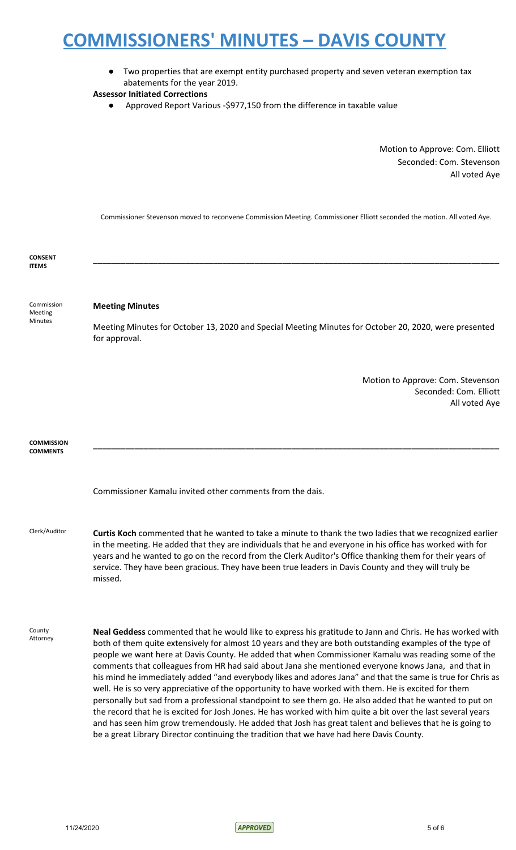● Two properties that are exempt entity purchased property and seven veteran exemption tax abatements for the year 2019.

### **Assessor Initiated Corrections**

● Approved Report Various -\$977,150 from the difference in taxable value

Motion to Approve: Com. Elliott Seconded: Com. Stevenson All voted Aye

Commissioner Stevenson moved to reconvene Commission Meeting. Commissioner Elliott seconded the motion. All voted Aye.

| <b>CONSENT</b><br><b>ITEMS</b>          |                                                                                                                                                                                                                                                                                                                                                                                                                                                                                                                                                                                                                                                                                                                                                                                                                                                                                                                                                                                                                                                                                              |
|-----------------------------------------|----------------------------------------------------------------------------------------------------------------------------------------------------------------------------------------------------------------------------------------------------------------------------------------------------------------------------------------------------------------------------------------------------------------------------------------------------------------------------------------------------------------------------------------------------------------------------------------------------------------------------------------------------------------------------------------------------------------------------------------------------------------------------------------------------------------------------------------------------------------------------------------------------------------------------------------------------------------------------------------------------------------------------------------------------------------------------------------------|
| Commission<br>Meeting<br><b>Minutes</b> | <b>Meeting Minutes</b><br>Meeting Minutes for October 13, 2020 and Special Meeting Minutes for October 20, 2020, were presented<br>for approval.                                                                                                                                                                                                                                                                                                                                                                                                                                                                                                                                                                                                                                                                                                                                                                                                                                                                                                                                             |
|                                         | Motion to Approve: Com. Stevenson<br>Seconded: Com. Elliott<br>All voted Aye                                                                                                                                                                                                                                                                                                                                                                                                                                                                                                                                                                                                                                                                                                                                                                                                                                                                                                                                                                                                                 |
| <b>COMMISSION</b><br><b>COMMENTS</b>    |                                                                                                                                                                                                                                                                                                                                                                                                                                                                                                                                                                                                                                                                                                                                                                                                                                                                                                                                                                                                                                                                                              |
|                                         | Commissioner Kamalu invited other comments from the dais.                                                                                                                                                                                                                                                                                                                                                                                                                                                                                                                                                                                                                                                                                                                                                                                                                                                                                                                                                                                                                                    |
| Clerk/Auditor                           | Curtis Koch commented that he wanted to take a minute to thank the two ladies that we recognized earlier<br>in the meeting. He added that they are individuals that he and everyone in his office has worked with for<br>years and he wanted to go on the record from the Clerk Auditor's Office thanking them for their years of<br>service. They have been gracious. They have been true leaders in Davis County and they will truly be<br>missed.                                                                                                                                                                                                                                                                                                                                                                                                                                                                                                                                                                                                                                         |
| County<br>Attorney                      | Neal Geddess commented that he would like to express his gratitude to Jann and Chris. He has worked with<br>both of them quite extensively for almost 10 years and they are both outstanding examples of the type of<br>people we want here at Davis County. He added that when Commissioner Kamalu was reading some of the<br>comments that colleagues from HR had said about Jana she mentioned everyone knows Jana, and that in<br>his mind he immediately added "and everybody likes and adores Jana" and that the same is true for Chris as<br>well. He is so very appreciative of the opportunity to have worked with them. He is excited for them<br>personally but sad from a professional standpoint to see them go. He also added that he wanted to put on<br>the record that he is excited for Josh Jones. He has worked with him quite a bit over the last several years<br>and has seen him grow tremendously. He added that Josh has great talent and believes that he is going to<br>be a great Library Director continuing the tradition that we have had here Davis County. |

11/24/2020 5 of 6